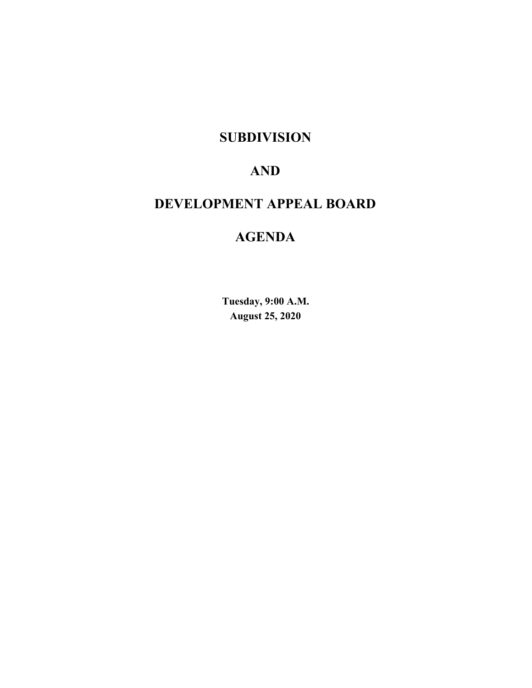# **SUBDIVISION**

# **AND**

# **DEVELOPMENT APPEAL BOARD**

# **AGENDA**

**Tuesday, 9:00 A.M. August 25, 2020**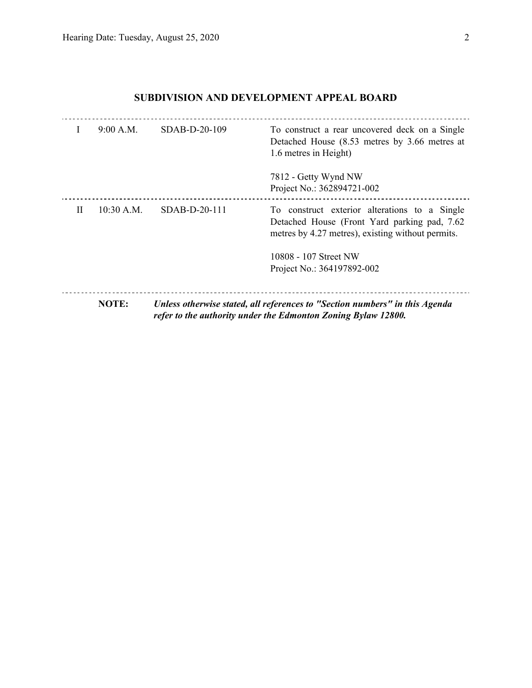# **SUBDIVISION AND DEVELOPMENT APPEAL BOARD**

|   | 9:00 A.M.    | SDAB-D-20-109   | To construct a rear uncovered deck on a Single<br>Detached House (8.53 metres by 3.66 metres at<br>1.6 metres in Height)                            |
|---|--------------|-----------------|-----------------------------------------------------------------------------------------------------------------------------------------------------|
|   |              |                 | 7812 - Getty Wynd NW<br>Project No.: 362894721-002                                                                                                  |
| H | $10:30$ A.M. | $SDAB-D-20-111$ | To construct exterior alterations to a Single<br>Detached House (Front Yard parking pad, 7.62)<br>metres by 4.27 metres), existing without permits. |
|   |              |                 | 10808 - 107 Street NW                                                                                                                               |
|   |              |                 | Project No.: 364197892-002                                                                                                                          |
|   | <b>NOTE:</b> |                 | Unless otherwise stated, all references to "Section numbers" in this Agenda<br>refer to the authority under the Edmonton Zoning Bylaw 12800.        |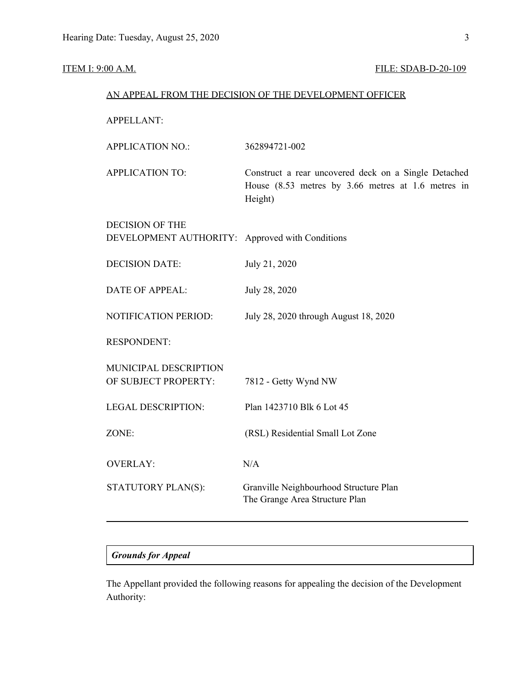# **ITEM I: 9:00 A.M. FILE: SDAB-D-20-109**

|                                                                           | AN APPEAL FROM THE DECISION OF THE DEVELOPMENT OFFICER                                                                |
|---------------------------------------------------------------------------|-----------------------------------------------------------------------------------------------------------------------|
| <b>APPELLANT:</b>                                                         |                                                                                                                       |
| <b>APPLICATION NO.:</b>                                                   | 362894721-002                                                                                                         |
| <b>APPLICATION TO:</b>                                                    | Construct a rear uncovered deck on a Single Detached<br>House (8.53 metres by 3.66 metres at 1.6 metres in<br>Height) |
| <b>DECISION OF THE</b><br>DEVELOPMENT AUTHORITY: Approved with Conditions |                                                                                                                       |
| <b>DECISION DATE:</b>                                                     | July 21, 2020                                                                                                         |
| <b>DATE OF APPEAL:</b>                                                    | July 28, 2020                                                                                                         |
| NOTIFICATION PERIOD:                                                      | July 28, 2020 through August 18, 2020                                                                                 |
| <b>RESPONDENT:</b>                                                        |                                                                                                                       |
| MUNICIPAL DESCRIPTION<br>OF SUBJECT PROPERTY:                             | 7812 - Getty Wynd NW                                                                                                  |
| <b>LEGAL DESCRIPTION:</b>                                                 | Plan 1423710 Blk 6 Lot 45                                                                                             |
| ZONE:                                                                     | (RSL) Residential Small Lot Zone                                                                                      |
| <b>OVERLAY:</b>                                                           | N/A                                                                                                                   |
| STATUTORY PLAN(S):                                                        | Granville Neighbourhood Structure Plan<br>The Grange Area Structure Plan                                              |

## *Grounds for Appeal*

The Appellant provided the following reasons for appealing the decision of the Development Authority: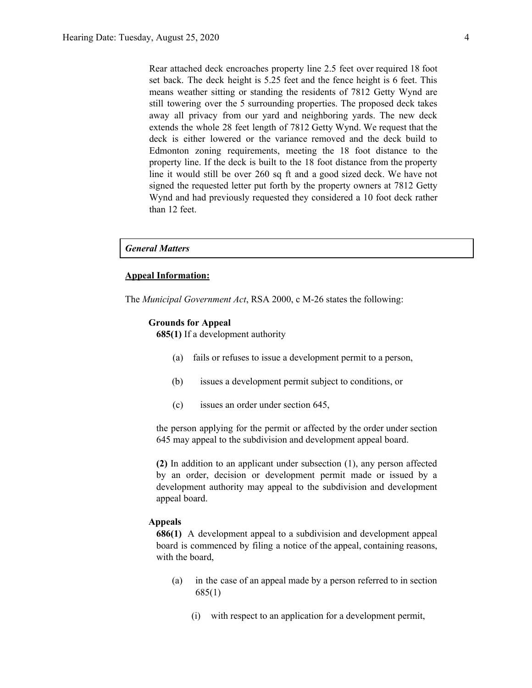Rear attached deck encroaches property line 2.5 feet over required 18 foot set back. The deck height is 5.25 feet and the fence height is 6 feet. This means weather sitting or standing the residents of 7812 Getty Wynd are still towering over the 5 surrounding properties. The proposed deck takes away all privacy from our yard and neighboring yards. The new deck extends the whole 28 feet length of 7812 Getty Wynd. We request that the deck is either lowered or the variance removed and the deck build to Edmonton zoning requirements, meeting the 18 foot distance to the property line. If the deck is built to the 18 foot distance from the property line it would still be over 260 sq ft and a good sized deck. We have not signed the requested letter put forth by the property owners at 7812 Getty Wynd and had previously requested they considered a 10 foot deck rather than 12 feet.

### *General Matters*

#### **Appeal Information:**

The *Municipal Government Act*, RSA 2000, c M-26 states the following:

#### **Grounds for Appeal**

**685(1)** If a development authority

- (a) fails or refuses to issue a development permit to a person,
- (b) issues a development permit subject to conditions, or
- (c) issues an order under section 645,

the person applying for the permit or affected by the order under section 645 may appeal to the subdivision and development appeal board.

**(2)** In addition to an applicant under subsection (1), any person affected by an order, decision or development permit made or issued by a development authority may appeal to the subdivision and development appeal board.

#### **Appeals**

**686(1)** A development appeal to a subdivision and development appeal board is commenced by filing a notice of the appeal, containing reasons, with the board,

- (a) in the case of an appeal made by a person referred to in section 685(1)
	- (i) with respect to an application for a development permit,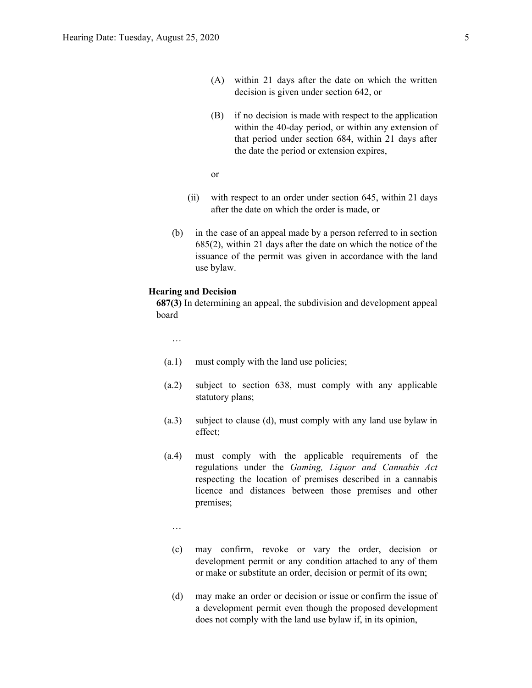- (A) within 21 days after the date on which the written decision is given under section 642, or
- (B) if no decision is made with respect to the application within the 40-day period, or within any extension of that period under section 684, within 21 days after the date the period or extension expires,
- or
- (ii) with respect to an order under section 645, within 21 days after the date on which the order is made, or
- (b) in the case of an appeal made by a person referred to in section 685(2), within 21 days after the date on which the notice of the issuance of the permit was given in accordance with the land use bylaw.

#### **Hearing and Decision**

**687(3)** In determining an appeal, the subdivision and development appeal board

…

- (a.1) must comply with the land use policies;
- (a.2) subject to section 638, must comply with any applicable statutory plans;
- (a.3) subject to clause (d), must comply with any land use bylaw in effect;
- (a.4) must comply with the applicable requirements of the regulations under the *Gaming, Liquor and Cannabis Act* respecting the location of premises described in a cannabis licence and distances between those premises and other premises;
	- …
	- (c) may confirm, revoke or vary the order, decision or development permit or any condition attached to any of them or make or substitute an order, decision or permit of its own;
	- (d) may make an order or decision or issue or confirm the issue of a development permit even though the proposed development does not comply with the land use bylaw if, in its opinion,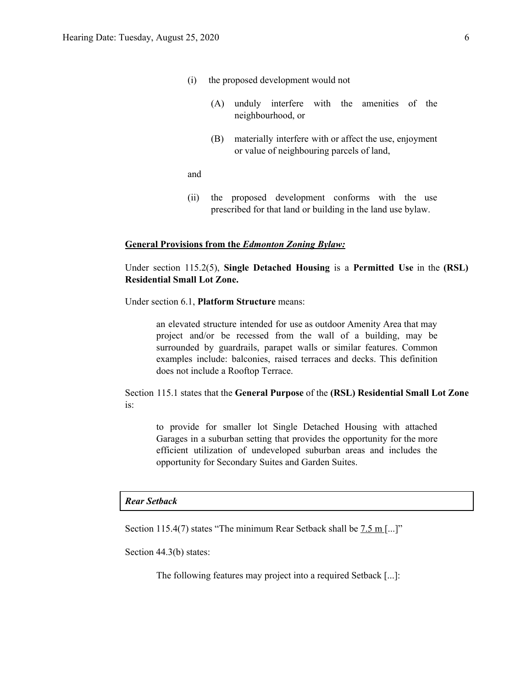- (i) the proposed development would not
	- (A) unduly interfere with the amenities of the neighbourhood, or
	- (B) materially interfere with or affect the use, enjoyment or value of neighbouring parcels of land,

and

(ii) the proposed development conforms with the use prescribed for that land or building in the land use bylaw.

#### **General Provisions from the** *Edmonton Zoning Bylaw:*

Under section 115.2(5), **Single Detached Housing** is a **Permitted Use** in the **(RSL) Residential Small Lot Zone.**

Under section 6.1, **Platform Structure** means:

an elevated structure intended for use as outdoor Amenity Area that may project and/or be recessed from the wall of a building, may be surrounded by guardrails, parapet walls or similar features. Common examples include: balconies, raised terraces and decks. This definition does not include a Rooftop Terrace.

Section 115.1 states that the **General Purpose** of the **(RSL) Residential Small Lot Zone** is:

to provide for smaller lot Single Detached Housing with attached Garages in a suburban setting that provides the opportunity for the more efficient utilization of undeveloped suburban areas and includes the opportunity for Secondary Suites and Garden Suites.

### *Rear Setback*

Section 115.4(7) states "The minimum Rear Setback shall be  $7.5 \text{ m}$  [...]"

Section 44.3(b) states:

The following features may project into a required Setback [...]: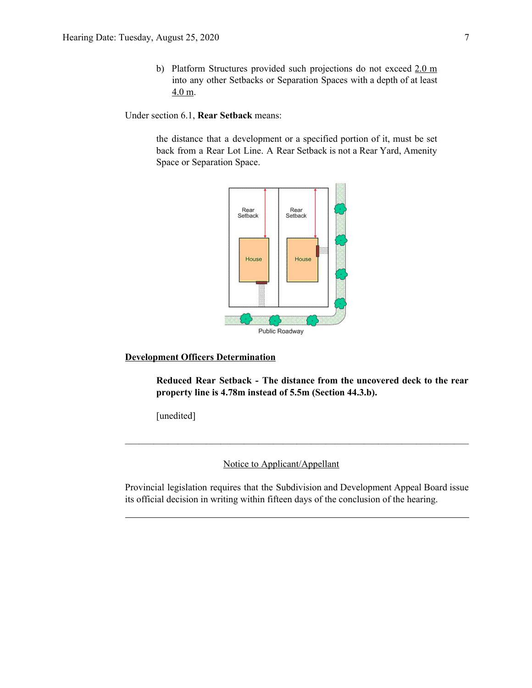b) Platform Structures provided such projections do not exceed 2.0 m into any other Setbacks or Separation Spaces with a depth of at least 4.0 m.

Under section 6.1, **Rear Setback** means:

the distance that a development or a specified portion of it, must be set back from a Rear Lot Line. A Rear Setback is not a Rear Yard, Amenity Space or Separation Space.



## **Development Officers Determination**

**Reduced Rear Setback - The distance from the uncovered deck to the rear property line is 4.78m instead of 5.5m (Section 44.3.b).**

[unedited]

Notice to Applicant/Appellant

Provincial legislation requires that the Subdivision and Development Appeal Board issue its official decision in writing within fifteen days of the conclusion of the hearing.

 $\mathcal{L}_\text{max} = \frac{1}{2} \sum_{i=1}^n \mathcal{L}_\text{max} = \frac{1}{2} \sum_{i=1}^n \mathcal{L}_\text{max} = \frac{1}{2} \sum_{i=1}^n \mathcal{L}_\text{max} = \frac{1}{2} \sum_{i=1}^n \mathcal{L}_\text{max} = \frac{1}{2} \sum_{i=1}^n \mathcal{L}_\text{max} = \frac{1}{2} \sum_{i=1}^n \mathcal{L}_\text{max} = \frac{1}{2} \sum_{i=1}^n \mathcal{L}_\text{max} = \frac{1}{2} \sum_{i=$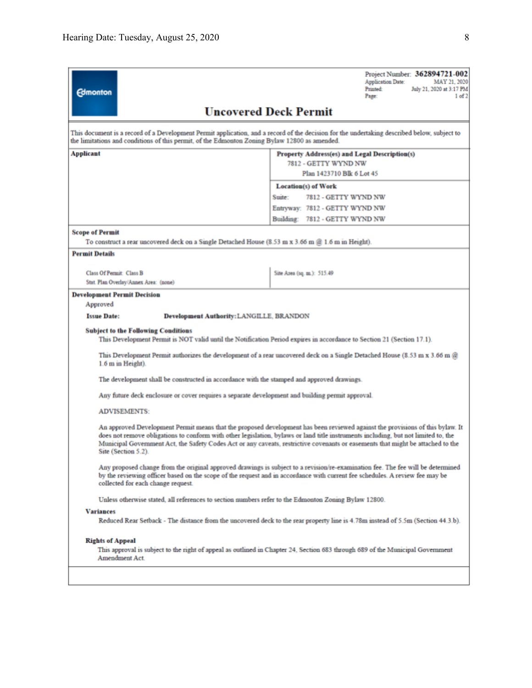| <b>Edmonton</b>                                                                                                                                                                                                                                                                                                                                                                                                               | Project Number: 362894721-002<br><b>Application Date:</b><br>MAY 21, 2020<br>Printed:<br>July 21, 2020 at 3:17 PM<br>Page:<br>1 of 2 |  |  |  |  |
|-------------------------------------------------------------------------------------------------------------------------------------------------------------------------------------------------------------------------------------------------------------------------------------------------------------------------------------------------------------------------------------------------------------------------------|--------------------------------------------------------------------------------------------------------------------------------------|--|--|--|--|
|                                                                                                                                                                                                                                                                                                                                                                                                                               | <b>Uncovered Deck Permit</b>                                                                                                         |  |  |  |  |
| This document is a record of a Development Permit application, and a record of the decision for the undertaking described below, subject to<br>the limitations and conditions of this permit, of the Edmonton Zoning Bylaw 12800 as amended.                                                                                                                                                                                  |                                                                                                                                      |  |  |  |  |
| Applicant                                                                                                                                                                                                                                                                                                                                                                                                                     | <b>Property Address(es) and Legal Description(s)</b><br>7812 - GETTY WYND NW                                                         |  |  |  |  |
|                                                                                                                                                                                                                                                                                                                                                                                                                               | Plan 1423710 Blk 6 Lot 45                                                                                                            |  |  |  |  |
|                                                                                                                                                                                                                                                                                                                                                                                                                               | <b>Location(s)</b> of Work                                                                                                           |  |  |  |  |
|                                                                                                                                                                                                                                                                                                                                                                                                                               | Suite:<br>7812 - GETTY WYND NW                                                                                                       |  |  |  |  |
|                                                                                                                                                                                                                                                                                                                                                                                                                               | Entryway: 7812 - GETTY WYND NW                                                                                                       |  |  |  |  |
|                                                                                                                                                                                                                                                                                                                                                                                                                               | Building: 7812 - GETTY WYND NW                                                                                                       |  |  |  |  |
| <b>Scope of Permit</b>                                                                                                                                                                                                                                                                                                                                                                                                        |                                                                                                                                      |  |  |  |  |
| To construct a rear uncovered deck on a Single Detached House (8.53 m x 3.66 m @ 1.6 m in Height).                                                                                                                                                                                                                                                                                                                            |                                                                                                                                      |  |  |  |  |
| <b>Permit Details</b>                                                                                                                                                                                                                                                                                                                                                                                                         |                                                                                                                                      |  |  |  |  |
| <b>Class Of Permit: Class B</b>                                                                                                                                                                                                                                                                                                                                                                                               | Site Area (sq. m.): 515.49                                                                                                           |  |  |  |  |
| Stat. Plan Overlay/Annex Area: (none)                                                                                                                                                                                                                                                                                                                                                                                         |                                                                                                                                      |  |  |  |  |
| <b>Development Permit Decision</b><br>Approved                                                                                                                                                                                                                                                                                                                                                                                |                                                                                                                                      |  |  |  |  |
| <b>Issue Date:</b><br>Development Authority: LANGILLE, BRANDON                                                                                                                                                                                                                                                                                                                                                                |                                                                                                                                      |  |  |  |  |
| <b>Subject to the Following Conditions</b><br>This Development Permit is NOT valid until the Notification Period expires in accordance to Section 21 (Section 17.1).                                                                                                                                                                                                                                                          |                                                                                                                                      |  |  |  |  |
| 1.6 m in Height).                                                                                                                                                                                                                                                                                                                                                                                                             | This Development Permit authorizes the development of a rear uncovered deck on a Single Detached House (8.53 m x 3.66 m $@$          |  |  |  |  |
| The development shall be constructed in accordance with the stamped and approved drawings.                                                                                                                                                                                                                                                                                                                                    |                                                                                                                                      |  |  |  |  |
| Any future deck enclosure or cover requires a separate development and building permit approval.                                                                                                                                                                                                                                                                                                                              |                                                                                                                                      |  |  |  |  |
| <b>ADVISEMENTS:</b>                                                                                                                                                                                                                                                                                                                                                                                                           |                                                                                                                                      |  |  |  |  |
| An approved Development Permit means that the proposed development has been reviewed against the provisions of this bylaw. It<br>does not remove obligations to conform with other legislation, bylaws or land title instruments including, but not limited to, the<br>Municipal Government Act, the Safety Codes Act or any caveats, restrictive covenants or easements that might be attached to the<br>Site (Section 5.2). |                                                                                                                                      |  |  |  |  |
| Any proposed change from the original approved drawings is subject to a revision/re-examination fee. The fee will be determined<br>by the reviewing officer based on the scope of the request and in accordance with current fee schedules. A review fee may be<br>collected for each change request.                                                                                                                         |                                                                                                                                      |  |  |  |  |
| Unless otherwise stated, all references to section numbers refer to the Edmonton Zoning Bylaw 12800.                                                                                                                                                                                                                                                                                                                          |                                                                                                                                      |  |  |  |  |
| <b>Variances</b>                                                                                                                                                                                                                                                                                                                                                                                                              |                                                                                                                                      |  |  |  |  |
|                                                                                                                                                                                                                                                                                                                                                                                                                               | Reduced Rear Setback - The distance from the uncovered deck to the rear property line is 4.78m instead of 5.5m (Section 44.3.b).     |  |  |  |  |
| <b>Rights of Appeal</b>                                                                                                                                                                                                                                                                                                                                                                                                       |                                                                                                                                      |  |  |  |  |
| Amendment Act.                                                                                                                                                                                                                                                                                                                                                                                                                | This approval is subject to the right of appeal as outlined in Chapter 24, Section 683 through 689 of the Municipal Government       |  |  |  |  |
|                                                                                                                                                                                                                                                                                                                                                                                                                               |                                                                                                                                      |  |  |  |  |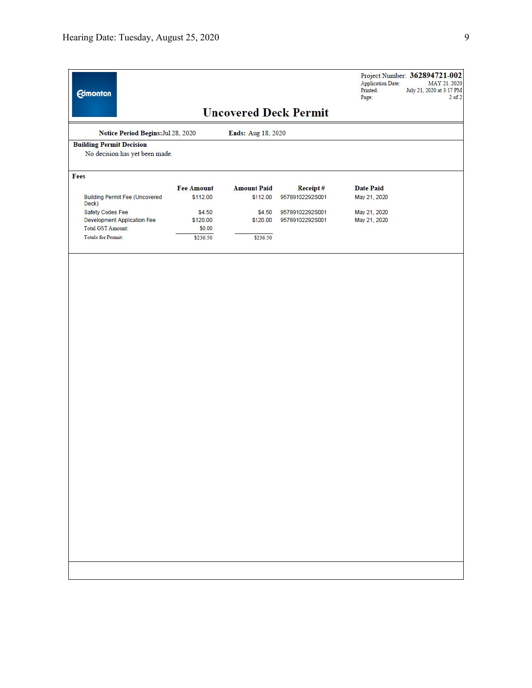| <b>Edmonton</b>                                                   |                   |                    |                              | <b>Application Date:</b><br>Printed:<br>Page: | Project Number: 362894721-002<br>MAY 21, 2020<br>July 21, 2020 at 3:17 PM<br>$2$ of $2$ |
|-------------------------------------------------------------------|-------------------|--------------------|------------------------------|-----------------------------------------------|-----------------------------------------------------------------------------------------|
|                                                                   |                   |                    | <b>Uncovered Deck Permit</b> |                                               |                                                                                         |
| Notice Period Begins: Jul 28, 2020                                |                   | Ends: Aug 18, 2020 |                              |                                               |                                                                                         |
| <b>Building Permit Decision</b><br>No decision has yet been made. |                   |                    |                              |                                               |                                                                                         |
| Fees                                                              |                   |                    |                              |                                               |                                                                                         |
|                                                                   | <b>Fee Amount</b> | <b>Amount Paid</b> | Receipt#                     | <b>Date Paid</b>                              |                                                                                         |
| <b>Building Permit Fee (Uncovered</b><br>Deck)                    | \$112.00          | \$112.00           | 95789102292S001              | May 21, 2020                                  |                                                                                         |
| Safety Codes Fee                                                  | \$4.50            | \$4.50             | 95789102292S001              | May 21, 2020                                  |                                                                                         |
| Development Application Fee                                       | \$120.00          | \$120.00           | 95789102292S001              | May 21, 2020                                  |                                                                                         |
| Total GST Amount:                                                 | \$0.00            |                    |                              |                                               |                                                                                         |
| <b>Totals for Permit:</b>                                         | \$236.50          | \$236.50           |                              |                                               |                                                                                         |
|                                                                   |                   |                    |                              |                                               |                                                                                         |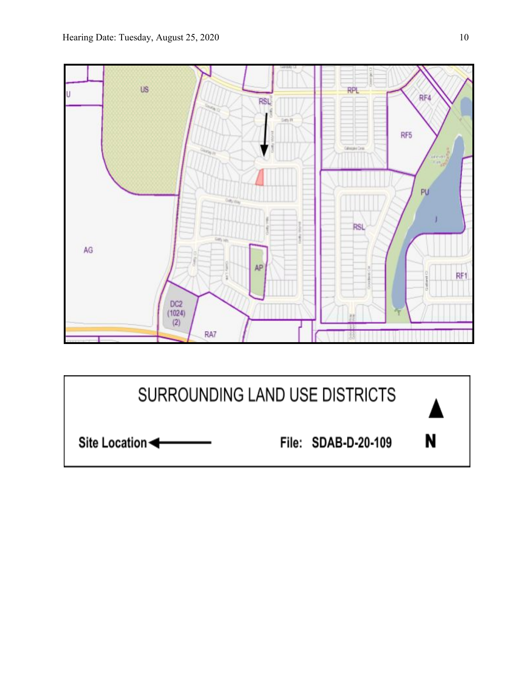

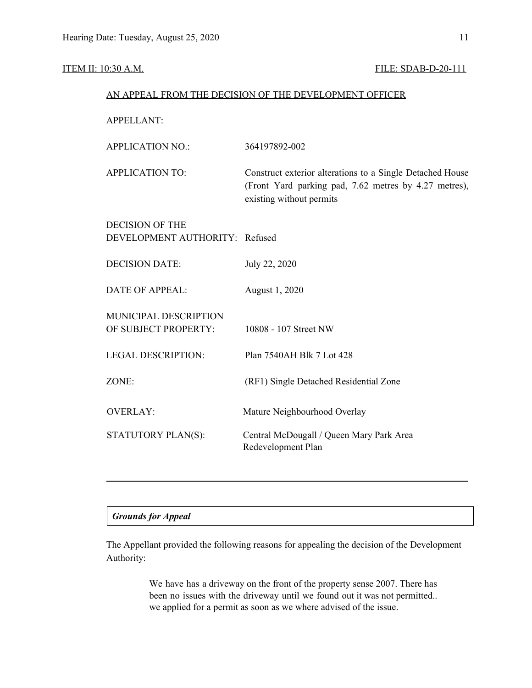### **ITEM II: 10:30 A.M. FILE: SDAB-D-20-111**

#### AN APPEAL FROM THE DECISION OF THE DEVELOPMENT OFFICER

| <b>APPELLANT:</b>                                        |                                                                                                                                                |
|----------------------------------------------------------|------------------------------------------------------------------------------------------------------------------------------------------------|
| <b>APPLICATION NO.:</b>                                  | 364197892-002                                                                                                                                  |
| <b>APPLICATION TO:</b>                                   | Construct exterior alterations to a Single Detached House<br>(Front Yard parking pad, 7.62 metres by 4.27 metres),<br>existing without permits |
| <b>DECISION OF THE</b><br>DEVELOPMENT AUTHORITY: Refused |                                                                                                                                                |
| <b>DECISION DATE:</b>                                    | July 22, 2020                                                                                                                                  |
| <b>DATE OF APPEAL:</b>                                   | August 1, 2020                                                                                                                                 |
| MUNICIPAL DESCRIPTION<br>OF SUBJECT PROPERTY:            | 10808 - 107 Street NW                                                                                                                          |
| <b>LEGAL DESCRIPTION:</b>                                | Plan 7540AH Blk 7 Lot 428                                                                                                                      |
| ZONE:                                                    | (RF1) Single Detached Residential Zone                                                                                                         |
| <b>OVERLAY:</b>                                          | Mature Neighbourhood Overlay                                                                                                                   |
| STATUTORY PLAN(S):                                       | Central McDougall / Queen Mary Park Area<br>Redevelopment Plan                                                                                 |
|                                                          |                                                                                                                                                |

### *Grounds for Appeal*

The Appellant provided the following reasons for appealing the decision of the Development Authority:

> We have has a driveway on the front of the property sense 2007. There has been no issues with the driveway until we found out it was not permitted.. we applied for a permit as soon as we where advised of the issue.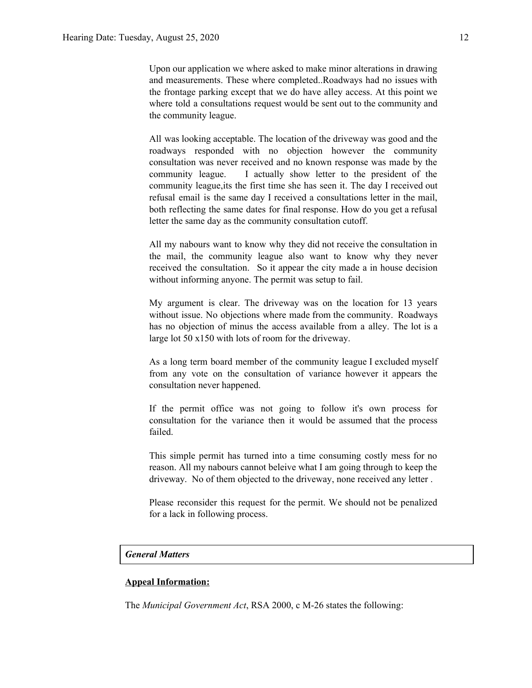Upon our application we where asked to make minor alterations in drawing and measurements. These where completed..Roadways had no issues with the frontage parking except that we do have alley access. At this point we where told a consultations request would be sent out to the community and the community league.

All was looking acceptable. The location of the driveway was good and the roadways responded with no objection however the community consultation was never received and no known response was made by the community league. I actually show letter to the president of the community league,its the first time she has seen it. The day I received out refusal email is the same day I received a consultations letter in the mail, both reflecting the same dates for final response. How do you get a refusal letter the same day as the community consultation cutoff.

All my nabours want to know why they did not receive the consultation in the mail, the community league also want to know why they never received the consultation. So it appear the city made a in house decision without informing anyone. The permit was setup to fail.

My argument is clear. The driveway was on the location for 13 years without issue. No objections where made from the community. Roadways has no objection of minus the access available from a alley. The lot is a large lot 50 x150 with lots of room for the driveway.

As a long term board member of the community league I excluded myself from any vote on the consultation of variance however it appears the consultation never happened.

If the permit office was not going to follow it's own process for consultation for the variance then it would be assumed that the process failed.

This simple permit has turned into a time consuming costly mess for no reason. All my nabours cannot beleive what I am going through to keep the driveway. No of them objected to the driveway, none received any letter .

Please reconsider this request for the permit. We should not be penalized for a lack in following process.

### *General Matters*

#### **Appeal Information:**

The *Municipal Government Act*, RSA 2000, c M-26 states the following: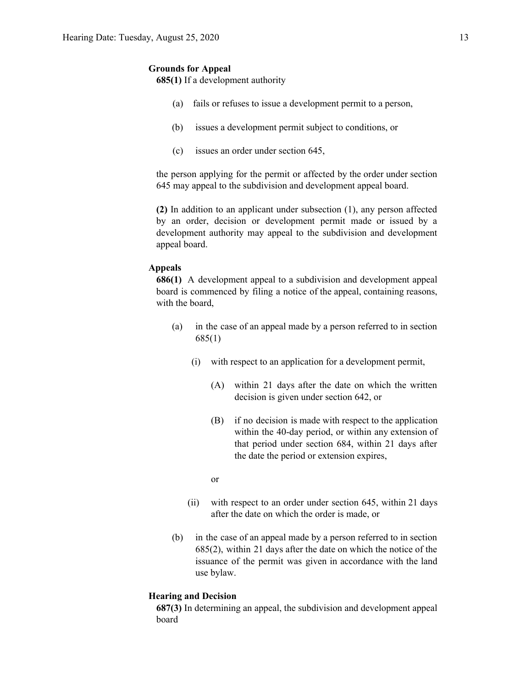#### **Grounds for Appeal**

**685(1)** If a development authority

- (a) fails or refuses to issue a development permit to a person,
- (b) issues a development permit subject to conditions, or
- (c) issues an order under section 645,

the person applying for the permit or affected by the order under section 645 may appeal to the subdivision and development appeal board.

**(2)** In addition to an applicant under subsection (1), any person affected by an order, decision or development permit made or issued by a development authority may appeal to the subdivision and development appeal board.

#### **Appeals**

**686(1)** A development appeal to a subdivision and development appeal board is commenced by filing a notice of the appeal, containing reasons, with the board,

- (a) in the case of an appeal made by a person referred to in section 685(1)
	- (i) with respect to an application for a development permit,
		- (A) within 21 days after the date on which the written decision is given under section 642, or
		- (B) if no decision is made with respect to the application within the 40-day period, or within any extension of that period under section 684, within 21 days after the date the period or extension expires,

or

- (ii) with respect to an order under section 645, within 21 days after the date on which the order is made, or
- (b) in the case of an appeal made by a person referred to in section 685(2), within 21 days after the date on which the notice of the issuance of the permit was given in accordance with the land use bylaw.

#### **Hearing and Decision**

**687(3)** In determining an appeal, the subdivision and development appeal board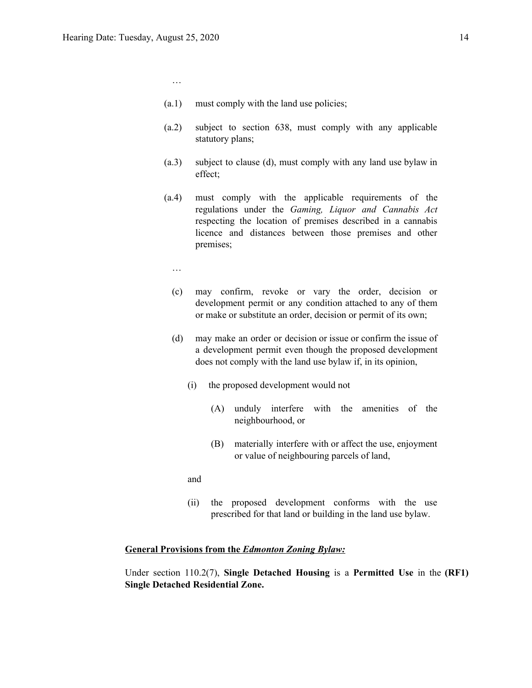- (a.1) must comply with the land use policies;
- (a.2) subject to section 638, must comply with any applicable statutory plans;
- (a.3) subject to clause (d), must comply with any land use bylaw in effect;
- (a.4) must comply with the applicable requirements of the regulations under the *Gaming, Liquor and Cannabis Act* respecting the location of premises described in a cannabis licence and distances between those premises and other premises;
	- …

…

- (c) may confirm, revoke or vary the order, decision or development permit or any condition attached to any of them or make or substitute an order, decision or permit of its own;
- (d) may make an order or decision or issue or confirm the issue of a development permit even though the proposed development does not comply with the land use bylaw if, in its opinion,
	- (i) the proposed development would not
		- (A) unduly interfere with the amenities of the neighbourhood, or
		- (B) materially interfere with or affect the use, enjoyment or value of neighbouring parcels of land,
	- and
	- (ii) the proposed development conforms with the use prescribed for that land or building in the land use bylaw.

#### **General Provisions from the** *Edmonton Zoning Bylaw:*

Under section 110.2(7), **Single Detached Housing** is a **Permitted Use** in the **(RF1) Single Detached Residential Zone.**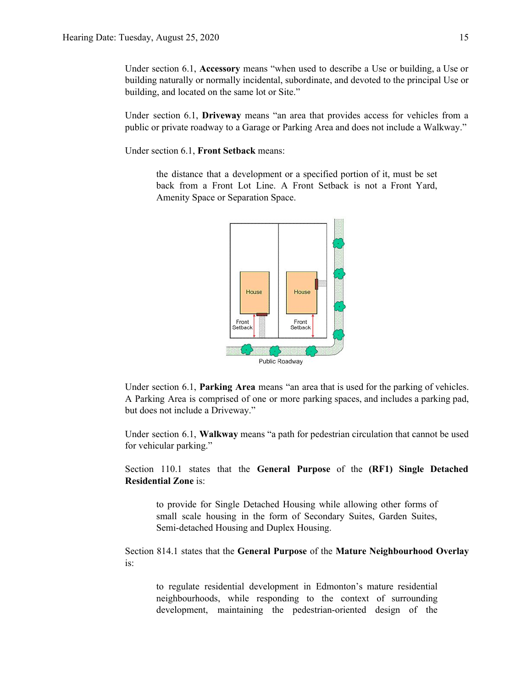Under section 6.1, **Accessory** means "when used to describe a Use or building, a Use or building naturally or normally incidental, subordinate, and devoted to the principal Use or building, and located on the same lot or Site."

Under section 6.1, **Driveway** means "an area that provides access for vehicles from a public or private roadway to a Garage or Parking Area and does not include a Walkway."

Under section 6.1, **Front Setback** means:

the distance that a development or a specified portion of it, must be set back from a Front Lot Line. A Front Setback is not a Front Yard, Amenity Space or Separation Space.



Under section 6.1, **Parking Area** means "an area that is used for the parking of vehicles. A Parking Area is comprised of one or more parking spaces, and includes a parking pad, but does not include a Driveway."

Under section 6.1, **Walkway** means "a path for pedestrian circulation that cannot be used for vehicular parking."

Section 110.1 states that the **General Purpose** of the **(RF1) Single Detached Residential Zone** is:

to provide for Single Detached Housing while allowing other forms of small scale housing in the form of Secondary Suites, Garden Suites, Semi-detached Housing and Duplex Housing.

Section 814.1 states that the **General Purpose** of the **Mature Neighbourhood Overlay** is:

to regulate residential development in Edmonton's mature residential neighbourhoods, while responding to the context of surrounding development, maintaining the pedestrian-oriented design of the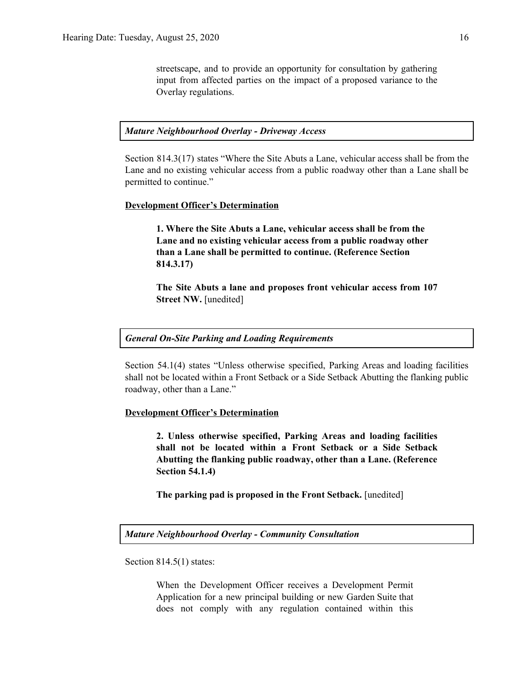streetscape, and to provide an opportunity for consultation by gathering input from affected parties on the impact of a proposed variance to the Overlay regulations.

#### *Mature Neighbourhood Overlay - Driveway Access*

Section 814.3(17) states "Where the Site Abuts a Lane, vehicular access shall be from the Lane and no existing vehicular access from a public roadway other than a Lane shall be permitted to continue."

#### **Development Officer's Determination**

**1. Where the Site Abuts a Lane, vehicular access shall be from the Lane and no existing vehicular access from a public roadway other than a Lane shall be permitted to continue. (Reference Section 814.3.17)**

**The Site Abuts a lane and proposes front vehicular access from 107 Street NW.** [unedited]

#### *General On-Site Parking and Loading Requirements*

Section 54.1(4) states "Unless otherwise specified, Parking Areas and loading facilities shall not be located within a Front Setback or a Side Setback Abutting the flanking public roadway, other than a Lane."

#### **Development Officer's Determination**

**2. Unless otherwise specified, Parking Areas and loading facilities shall not be located within a Front Setback or a Side Setback Abutting the flanking public roadway, other than a Lane. (Reference Section 54.1.4)**

**The parking pad is proposed in the Front Setback.** [unedited]

*Mature Neighbourhood Overlay - Community Consultation*

Section 814.5(1) states:

When the Development Officer receives a Development Permit Application for a new principal building or new Garden Suite that does not comply with any regulation contained within this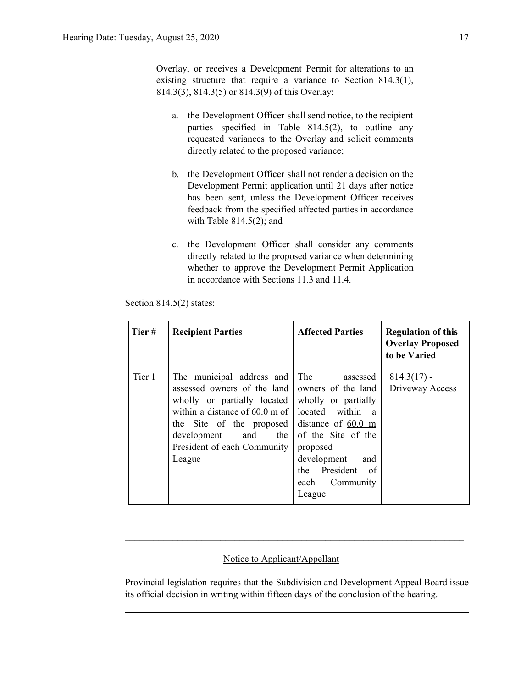Overlay, or receives a Development Permit for alterations to an existing structure that require a variance to Section 814.3(1), 814.3(3), 814.3(5) or 814.3(9) of this Overlay:

- a. the Development Officer shall send notice, to the recipient parties specified in Table 814.5(2), to outline any requested variances to the Overlay and solicit comments directly related to the proposed variance;
- b. the Development Officer shall not render a decision on the Development Permit application until 21 days after notice has been sent, unless the Development Officer receives feedback from the specified affected parties in accordance with Table  $814.5(2)$ ; and
- c. the Development Officer shall consider any comments directly related to the proposed variance when determining whether to approve the Development Permit Application in accordance with Sections 11.3 and 11.4.

| Tier#  | <b>Recipient Parties</b>                                                                                                                                                                                                                                                          | <b>Affected Parties</b>                                                                                                                                              | <b>Regulation of this</b><br><b>Overlay Proposed</b><br>to be Varied |
|--------|-----------------------------------------------------------------------------------------------------------------------------------------------------------------------------------------------------------------------------------------------------------------------------------|----------------------------------------------------------------------------------------------------------------------------------------------------------------------|----------------------------------------------------------------------|
| Tier 1 | The municipal address and<br>assessed owners of the land<br>wholly or partially located<br>within a distance of $60.0 \text{ m of }$ located within a<br>the Site of the proposed distance of $60.0 \text{ m}$<br>development and<br>the<br>President of each Community<br>League | The<br>assessed<br>owners of the land<br>wholly or partially<br>of the Site of the<br>proposed<br>development<br>and<br>the President of<br>each Community<br>League | $814.3(17)$ -<br>Driveway Access                                     |

Section 814.5(2) states:

## Notice to Applicant/Appellant

Provincial legislation requires that the Subdivision and Development Appeal Board issue its official decision in writing within fifteen days of the conclusion of the hearing.

 $\mathcal{L}_\text{max} = \mathcal{L}_\text{max} = \mathcal{L}_\text{max} = \mathcal{L}_\text{max} = \mathcal{L}_\text{max} = \mathcal{L}_\text{max} = \mathcal{L}_\text{max} = \mathcal{L}_\text{max} = \mathcal{L}_\text{max} = \mathcal{L}_\text{max} = \mathcal{L}_\text{max} = \mathcal{L}_\text{max} = \mathcal{L}_\text{max} = \mathcal{L}_\text{max} = \mathcal{L}_\text{max} = \mathcal{L}_\text{max} = \mathcal{L}_\text{max} = \mathcal{L}_\text{max} = \mathcal{$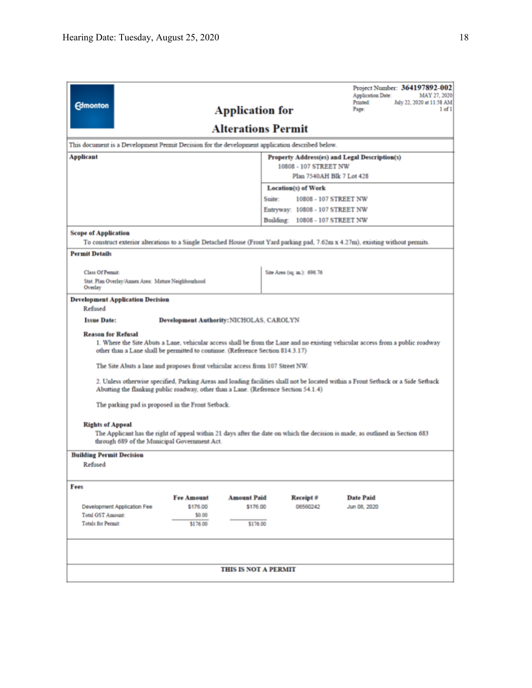| <b>Edmonton</b>                                                                                                                                                                                                                               |                                                 | <b>Application for</b>      |                                 | Project Number: 364197892-002<br>Application Date:<br>MAY 27, 2020<br>Printed:<br>July 22, 2020 at 11:58 AM<br>Page:<br>1 of 1 |  |  |  |  |  |
|-----------------------------------------------------------------------------------------------------------------------------------------------------------------------------------------------------------------------------------------------|-------------------------------------------------|-----------------------------|---------------------------------|--------------------------------------------------------------------------------------------------------------------------------|--|--|--|--|--|
| <b>Alterations Permit</b>                                                                                                                                                                                                                     |                                                 |                             |                                 |                                                                                                                                |  |  |  |  |  |
| This document is a Development Permit Decision for the development application described below.                                                                                                                                               |                                                 |                             |                                 |                                                                                                                                |  |  |  |  |  |
| Applicant<br>Property Address(es) and Legal Description(s)<br>10808 - 107 STREET NW<br>Plan 7540AH Blk 7 Lot 428                                                                                                                              |                                                 |                             |                                 |                                                                                                                                |  |  |  |  |  |
| <b>Location(s) of Work</b>                                                                                                                                                                                                                    |                                                 |                             |                                 |                                                                                                                                |  |  |  |  |  |
|                                                                                                                                                                                                                                               | Suite:<br>10808 - 107 STREET NW                 |                             |                                 |                                                                                                                                |  |  |  |  |  |
|                                                                                                                                                                                                                                               |                                                 |                             | Entryway: 10808 - 107 STREET NW |                                                                                                                                |  |  |  |  |  |
|                                                                                                                                                                                                                                               |                                                 |                             | Building: 10808 - 107 STREET NW |                                                                                                                                |  |  |  |  |  |
| <b>Scope of Application</b><br>To construct exterior alterations to a Single Detached House (Front Yard parking pad, 7.62m x 4.27m), existing without permits.                                                                                |                                                 |                             |                                 |                                                                                                                                |  |  |  |  |  |
| <b>Permit Details</b>                                                                                                                                                                                                                         |                                                 |                             |                                 |                                                                                                                                |  |  |  |  |  |
| <b>Class Of Permit:</b><br>Stat. Plan Overlay/Annex Area: Mature Neighbourhood<br>Overlay                                                                                                                                                     |                                                 |                             | Site Area (sq. m.): 696.76      |                                                                                                                                |  |  |  |  |  |
| <b>Development Application Decision</b>                                                                                                                                                                                                       |                                                 |                             |                                 |                                                                                                                                |  |  |  |  |  |
| Refused                                                                                                                                                                                                                                       |                                                 |                             |                                 |                                                                                                                                |  |  |  |  |  |
| <b>Issue Date:</b>                                                                                                                                                                                                                            | <b>Development Authority: NICHOLAS, CAROLYN</b> |                             |                                 |                                                                                                                                |  |  |  |  |  |
| <b>Reason for Refusal</b><br>1. Where the Site Abuts a Lane, vehicular access shall be from the Lane and no existing vehicular access from a public roadway<br>other than a Lane shall be permitted to continue. (Reference Section 814.3.17) |                                                 |                             |                                 |                                                                                                                                |  |  |  |  |  |
| The Site Abuts a lane and proposes front vehicular access from 107 Street NW.                                                                                                                                                                 |                                                 |                             |                                 |                                                                                                                                |  |  |  |  |  |
| 2. Unless otherwise specified, Parking Areas and loading facilities shall not be located within a Front Setback or a Side Setback<br>Abutting the flanking public roadway, other than a Lane. (Reference Section 54.1.4)                      |                                                 |                             |                                 |                                                                                                                                |  |  |  |  |  |
| The parking pad is proposed in the Front Setback.                                                                                                                                                                                             |                                                 |                             |                                 |                                                                                                                                |  |  |  |  |  |
| <b>Rights of Appeal</b><br>through 689 of the Municipal Government Act.                                                                                                                                                                       |                                                 |                             |                                 | The Applicant has the right of appeal within 21 days after the date on which the decision is made, as outlined in Section 683  |  |  |  |  |  |
| <b>Building Permit Decision</b>                                                                                                                                                                                                               |                                                 |                             |                                 |                                                                                                                                |  |  |  |  |  |
| Refused                                                                                                                                                                                                                                       |                                                 |                             |                                 |                                                                                                                                |  |  |  |  |  |
| Fees                                                                                                                                                                                                                                          |                                                 |                             |                                 |                                                                                                                                |  |  |  |  |  |
|                                                                                                                                                                                                                                               | <b>Fee Amount</b>                               | <b>Amount Paid</b>          | Receipt #                       | <b>Date Paid</b>                                                                                                               |  |  |  |  |  |
| Development Application Fee                                                                                                                                                                                                                   | \$176.00                                        | \$176.00                    | 06560242                        | Jun 08, 2020                                                                                                                   |  |  |  |  |  |
| <b>Total GST Amount:</b><br><b>Totals for Permit:</b>                                                                                                                                                                                         | \$0.00<br>\$176.00                              | \$176.00                    |                                 |                                                                                                                                |  |  |  |  |  |
|                                                                                                                                                                                                                                               |                                                 |                             |                                 |                                                                                                                                |  |  |  |  |  |
|                                                                                                                                                                                                                                               |                                                 | <b>THIS IS NOT A PERMIT</b> |                                 |                                                                                                                                |  |  |  |  |  |
|                                                                                                                                                                                                                                               |                                                 |                             |                                 |                                                                                                                                |  |  |  |  |  |